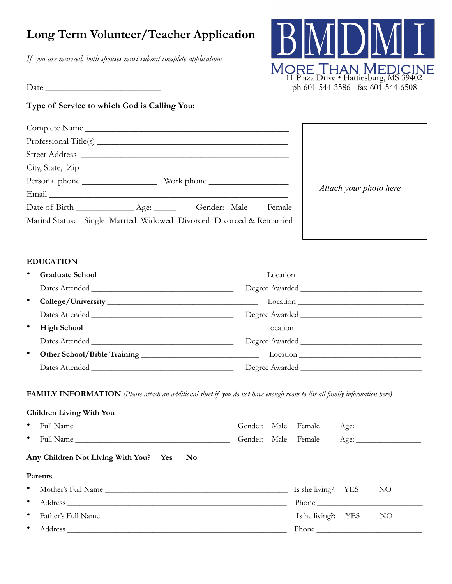# **Long Term Volunteer/Teacher Application**

*If you are married, both spouses must submit complete applications*



 $Date \_\_$ 

# **Type of Service to which God is Calling You: \_\_\_\_\_\_\_\_\_\_\_\_\_\_\_\_\_\_\_\_\_\_\_\_\_\_\_\_\_\_\_\_\_\_\_\_\_\_\_\_\_\_\_\_\_\_\_\_\_\_\_\_\_\_\_\_\_\_\_\_\_**

| Complete Name                                                                                                                                                                                                                  |                                                                      |                        |  |  |  |
|--------------------------------------------------------------------------------------------------------------------------------------------------------------------------------------------------------------------------------|----------------------------------------------------------------------|------------------------|--|--|--|
|                                                                                                                                                                                                                                |                                                                      |                        |  |  |  |
|                                                                                                                                                                                                                                |                                                                      |                        |  |  |  |
| City, State, Zip                                                                                                                                                                                                               |                                                                      |                        |  |  |  |
|                                                                                                                                                                                                                                |                                                                      |                        |  |  |  |
| Email et al. 2003 and 2004 and 2005 and 2006 and 2007 and 2007 and 2007 and 2007 and 2007 and 2007 and 2007 and 2007 and 2007 and 2007 and 2007 and 2007 and 2007 and 2007 and 2007 and 2007 and 2007 and 2007 and 2007 and 20 |                                                                      | Attach your photo here |  |  |  |
|                                                                                                                                                                                                                                | Date of Birth _______________ Age: _________ Gender: Male Female     |                        |  |  |  |
|                                                                                                                                                                                                                                | Marital Status: Single Married Widowed Divorced Divorced & Remarried |                        |  |  |  |

# **EDUCATION**

| ٠         | Graduate School Lawrence and School Lawrence and School Lawrence and School Lawrence and School Lawrence and School Lawrence and School Lawrence and School Lawrence and School Lawrence and School Lawrence and School Lawren |  |
|-----------|--------------------------------------------------------------------------------------------------------------------------------------------------------------------------------------------------------------------------------|--|
|           |                                                                                                                                                                                                                                |  |
| $\bullet$ |                                                                                                                                                                                                                                |  |
|           |                                                                                                                                                                                                                                |  |
| ٠         |                                                                                                                                                                                                                                |  |
|           |                                                                                                                                                                                                                                |  |
| ٠         |                                                                                                                                                                                                                                |  |
|           |                                                                                                                                                                                                                                |  |

**FAMILY INFORMATION** *(Please attach an additional sheet if you do not have enough room to list all family information here)*

| <b>Children Living With You</b>          |              |  |                     |  |      |
|------------------------------------------|--------------|--|---------------------|--|------|
| $\bullet$                                | Gender: Male |  | Female              |  | Age: |
| $\bullet$                                |              |  | Gender: Male Female |  | Age: |
| Any Children Not Living With You? Yes No |              |  |                     |  |      |
| <b>Parents</b>                           |              |  |                     |  |      |
| $\bullet$                                |              |  | Is she living?: YES |  | NO   |
| $\bullet$                                |              |  |                     |  |      |
| ٠                                        |              |  | Is he living?: YES  |  | NO   |
|                                          |              |  |                     |  |      |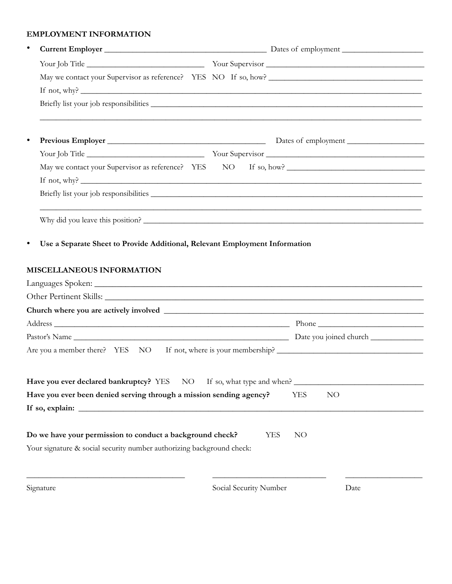### **EMPLOYMENT INFORMATION**

| $\bullet$ |                                                                                   |                        |                            |  |  |  |  |
|-----------|-----------------------------------------------------------------------------------|------------------------|----------------------------|--|--|--|--|
|           |                                                                                   |                        |                            |  |  |  |  |
|           |                                                                                   |                        |                            |  |  |  |  |
|           | If not, why? $\qquad \qquad$                                                      |                        |                            |  |  |  |  |
|           | ,我们也不会有什么。""我们的人,我们也不会有什么?""我们的人,我们也不会有什么?""我们的人,我们的人,我们也不会有什么?""我们的人,我们的人,我们的人,我 |                        |                            |  |  |  |  |
| $\bullet$ |                                                                                   |                        |                            |  |  |  |  |
|           |                                                                                   |                        |                            |  |  |  |  |
|           |                                                                                   |                        |                            |  |  |  |  |
|           |                                                                                   |                        |                            |  |  |  |  |
|           |                                                                                   |                        |                            |  |  |  |  |
|           | Why did you leave this position?                                                  |                        |                            |  |  |  |  |
|           |                                                                                   |                        |                            |  |  |  |  |
|           |                                                                                   |                        |                            |  |  |  |  |
|           |                                                                                   |                        |                            |  |  |  |  |
|           |                                                                                   |                        |                            |  |  |  |  |
|           |                                                                                   |                        |                            |  |  |  |  |
|           | Have you ever declared bankruptcy? YES NO                                         |                        | If so, what type and when? |  |  |  |  |
|           | Have you ever been denied serving through a mission sending agency?               |                        | NO<br><b>YES</b>           |  |  |  |  |
|           |                                                                                   |                        |                            |  |  |  |  |
|           | Do we have your permission to conduct a background check?                         |                        | <b>YES</b><br>NO           |  |  |  |  |
|           | Your signature & social security number authorizing background check:             |                        |                            |  |  |  |  |
|           | Signature                                                                         | Social Security Number | Date                       |  |  |  |  |